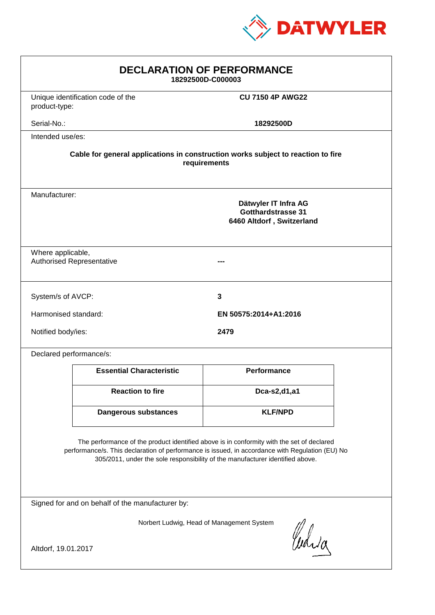

| <b>DECLARATION OF PERFORMANCE</b><br>18292500D-C000003                                                                                                                                                                                                                        |                                 |                         |  |
|-------------------------------------------------------------------------------------------------------------------------------------------------------------------------------------------------------------------------------------------------------------------------------|---------------------------------|-------------------------|--|
| Unique identification code of the<br>product-type:                                                                                                                                                                                                                            |                                 | <b>CU 7150 4P AWG22</b> |  |
| Serial-No.:                                                                                                                                                                                                                                                                   |                                 | 18292500D               |  |
| Intended use/es:                                                                                                                                                                                                                                                              |                                 |                         |  |
| Cable for general applications in construction works subject to reaction to fire<br>requirements                                                                                                                                                                              |                                 |                         |  |
| Manufacturer:<br>Dätwyler IT Infra AG<br><b>Gotthardstrasse 31</b><br>6460 Altdorf, Switzerland                                                                                                                                                                               |                                 |                         |  |
| Where applicable,<br><b>Authorised Representative</b>                                                                                                                                                                                                                         |                                 |                         |  |
| System/s of AVCP:                                                                                                                                                                                                                                                             |                                 | 3                       |  |
| Harmonised standard:                                                                                                                                                                                                                                                          |                                 | EN 50575:2014+A1:2016   |  |
| Notified body/ies:<br>2479                                                                                                                                                                                                                                                    |                                 |                         |  |
| Declared performance/s:                                                                                                                                                                                                                                                       |                                 |                         |  |
|                                                                                                                                                                                                                                                                               | <b>Essential Characteristic</b> | <b>Performance</b>      |  |
|                                                                                                                                                                                                                                                                               | <b>Reaction to fire</b>         | Dca-s2,d1,a1            |  |
|                                                                                                                                                                                                                                                                               | Dangerous substances            | <b>KLF/NPD</b>          |  |
| The performance of the product identified above is in conformity with the set of declared<br>performance/s. This declaration of performance is issued, in accordance with Regulation (EU) No<br>305/2011, under the sole responsibility of the manufacturer identified above. |                                 |                         |  |
| Signed for and on behalf of the manufacturer by:                                                                                                                                                                                                                              |                                 |                         |  |
| Norbert Ludwig, Head of Management System<br>Curia                                                                                                                                                                                                                            |                                 |                         |  |
| Altdorf, 19.01.2017                                                                                                                                                                                                                                                           |                                 |                         |  |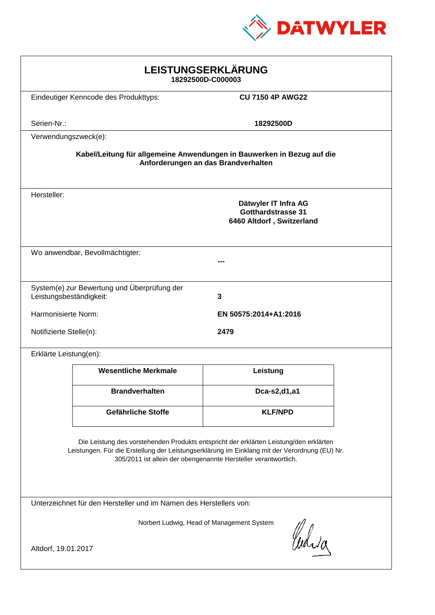

| LEISTUNGSERKLÄRUNG<br>18292500D-C000003                                                                                                                                                                                                                    |                                       |                                                                                |  |
|------------------------------------------------------------------------------------------------------------------------------------------------------------------------------------------------------------------------------------------------------------|---------------------------------------|--------------------------------------------------------------------------------|--|
|                                                                                                                                                                                                                                                            | Eindeutiger Kenncode des Produkttyps: | <b>CU 7150 4P AWG22</b>                                                        |  |
| Serien-Nr.:                                                                                                                                                                                                                                                |                                       | 18292500D                                                                      |  |
| Verwendungszweck(e):                                                                                                                                                                                                                                       |                                       |                                                                                |  |
| Kabel/Leitung für allgemeine Anwendungen in Bauwerken in Bezug auf die<br>Anforderungen an das Brandverhalten                                                                                                                                              |                                       |                                                                                |  |
| Hersteller:                                                                                                                                                                                                                                                |                                       | Dätwyler IT Infra AG<br><b>Gotthardstrasse 31</b><br>6460 Altdorf, Switzerland |  |
| Wo anwendbar, Bevollmächtigter:                                                                                                                                                                                                                            |                                       |                                                                                |  |
| System(e) zur Bewertung und Überprüfung der<br>Leistungsbeständigkeit:<br>3                                                                                                                                                                                |                                       |                                                                                |  |
| Harmonisierte Norm:                                                                                                                                                                                                                                        |                                       | EN 50575:2014+A1:2016                                                          |  |
| Notifizierte Stelle(n):<br>2479                                                                                                                                                                                                                            |                                       |                                                                                |  |
| Erklärte Leistung(en):                                                                                                                                                                                                                                     |                                       |                                                                                |  |
|                                                                                                                                                                                                                                                            | <b>Wesentliche Merkmale</b>           | Leistung                                                                       |  |
|                                                                                                                                                                                                                                                            | <b>Brandverhalten</b>                 | Dca-s2,d1,a1                                                                   |  |
|                                                                                                                                                                                                                                                            | Gefährliche Stoffe                    | <b>KLF/NPD</b>                                                                 |  |
| Die Leistung des vorstehenden Produkts entspricht der erklärten Leistung/den erklärten<br>Leistungen. Für die Erstellung der Leistungserklärung im Einklang mit der Verordnung (EU) Nr.<br>305/2011 ist allein der obengenannte Hersteller verantwortlich. |                                       |                                                                                |  |
| Unterzeichnet für den Hersteller und im Namen des Herstellers von:                                                                                                                                                                                         |                                       |                                                                                |  |
| Norbert Ludwig, Head of Management System<br>Curia<br>Altdorf, 19.01.2017                                                                                                                                                                                  |                                       |                                                                                |  |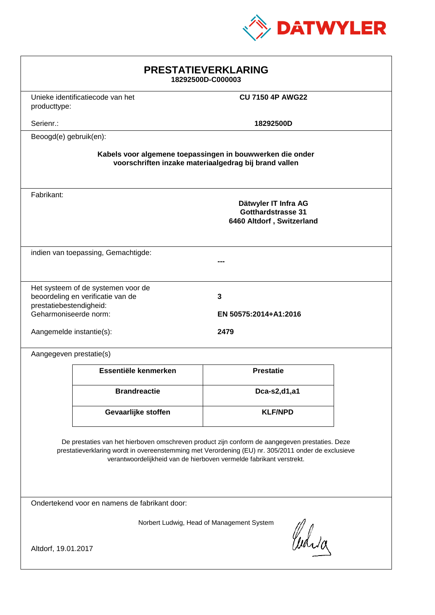

| <b>PRESTATIEVERKLARING</b><br>18292500D-C000003                                                                                                                                                                                                                             |                                                                             |                                                                                |  |
|-----------------------------------------------------------------------------------------------------------------------------------------------------------------------------------------------------------------------------------------------------------------------------|-----------------------------------------------------------------------------|--------------------------------------------------------------------------------|--|
|                                                                                                                                                                                                                                                                             | Unieke identificatiecode van het<br><b>CU 7150 4P AWG22</b><br>producttype: |                                                                                |  |
| Serienr.:                                                                                                                                                                                                                                                                   |                                                                             | 18292500D                                                                      |  |
| Beoogd(e) gebruik(en):                                                                                                                                                                                                                                                      |                                                                             |                                                                                |  |
| Kabels voor algemene toepassingen in bouwwerken die onder<br>voorschriften inzake materiaalgedrag bij brand vallen                                                                                                                                                          |                                                                             |                                                                                |  |
| Fabrikant:                                                                                                                                                                                                                                                                  |                                                                             | Dätwyler IT Infra AG<br><b>Gotthardstrasse 31</b><br>6460 Altdorf, Switzerland |  |
| indien van toepassing, Gemachtigde:                                                                                                                                                                                                                                         |                                                                             |                                                                                |  |
| Het systeem of de systemen voor de<br>beoordeling en verificatie van de<br>3<br>prestatiebestendigheid:<br>Geharmoniseerde norm:<br>EN 50575:2014+A1:2016<br>2479<br>Aangemelde instantie(s):                                                                               |                                                                             |                                                                                |  |
| Aangegeven prestatie(s)                                                                                                                                                                                                                                                     |                                                                             |                                                                                |  |
|                                                                                                                                                                                                                                                                             | Essentiële kenmerken                                                        | <b>Prestatie</b>                                                               |  |
|                                                                                                                                                                                                                                                                             | <b>Brandreactie</b>                                                         | Dca-s2,d1,a1                                                                   |  |
|                                                                                                                                                                                                                                                                             | Gevaarlijke stoffen                                                         | <b>KLF/NPD</b>                                                                 |  |
| De prestaties van het hierboven omschreven product zijn conform de aangegeven prestaties. Deze<br>prestatieverklaring wordt in overeenstemming met Verordening (EU) nr. 305/2011 onder de exclusieve<br>verantwoordelijkheid van de hierboven vermelde fabrikant verstrekt. |                                                                             |                                                                                |  |
| Ondertekend voor en namens de fabrikant door:                                                                                                                                                                                                                               |                                                                             |                                                                                |  |
| Norbert Ludwig, Head of Management System<br>Curia<br>Altdorf, 19.01.2017                                                                                                                                                                                                   |                                                                             |                                                                                |  |
|                                                                                                                                                                                                                                                                             |                                                                             |                                                                                |  |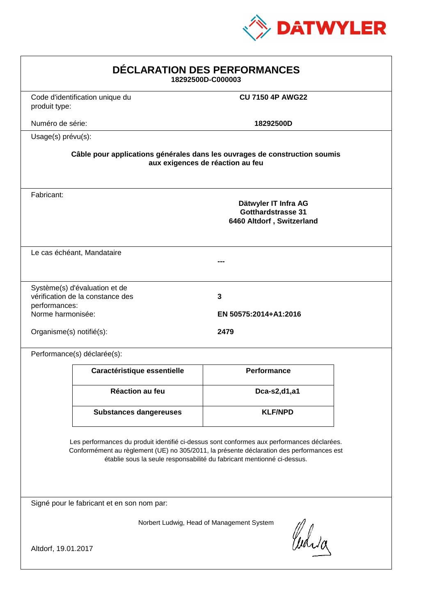

| <b>DÉCLARATION DES PERFORMANCES</b><br>18292500D-C000003                                                                                                                                                                                                         |                                                                   |                                                                                |  |  |
|------------------------------------------------------------------------------------------------------------------------------------------------------------------------------------------------------------------------------------------------------------------|-------------------------------------------------------------------|--------------------------------------------------------------------------------|--|--|
| produit type:                                                                                                                                                                                                                                                    | Code d'identification unique du                                   | <b>CU 7150 4P AWG22</b>                                                        |  |  |
| Numéro de série:                                                                                                                                                                                                                                                 |                                                                   | 18292500D                                                                      |  |  |
| Usage(s) prévu(s):                                                                                                                                                                                                                                               |                                                                   |                                                                                |  |  |
| Câble pour applications générales dans les ouvrages de construction soumis<br>aux exigences de réaction au feu                                                                                                                                                   |                                                                   |                                                                                |  |  |
| Fabricant:                                                                                                                                                                                                                                                       |                                                                   | Dätwyler IT Infra AG<br><b>Gotthardstrasse 31</b><br>6460 Altdorf, Switzerland |  |  |
|                                                                                                                                                                                                                                                                  | Le cas échéant, Mandataire                                        | ---                                                                            |  |  |
| performances:<br>Norme harmonisée:                                                                                                                                                                                                                               | Système(s) d'évaluation et de<br>vérification de la constance des | 3<br>EN 50575:2014+A1:2016                                                     |  |  |
|                                                                                                                                                                                                                                                                  | Organisme(s) notifié(s):<br>2479                                  |                                                                                |  |  |
|                                                                                                                                                                                                                                                                  | Performance(s) déclarée(s):                                       |                                                                                |  |  |
|                                                                                                                                                                                                                                                                  | Caractéristique essentielle                                       | <b>Performance</b>                                                             |  |  |
|                                                                                                                                                                                                                                                                  | Réaction au feu                                                   | Dca-s2,d1,a1                                                                   |  |  |
|                                                                                                                                                                                                                                                                  | <b>Substances dangereuses</b>                                     | <b>KLF/NPD</b>                                                                 |  |  |
| Les performances du produit identifié ci-dessus sont conformes aux performances déclarées.<br>Conformément au règlement (UE) no 305/2011, la présente déclaration des performances est<br>établie sous la seule responsabilité du fabricant mentionné ci-dessus. |                                                                   |                                                                                |  |  |
| Signé pour le fabricant et en son nom par:                                                                                                                                                                                                                       |                                                                   |                                                                                |  |  |
| Norbert Ludwig, Head of Management System<br>Waja<br>Altdorf, 19.01.2017                                                                                                                                                                                         |                                                                   |                                                                                |  |  |
|                                                                                                                                                                                                                                                                  |                                                                   |                                                                                |  |  |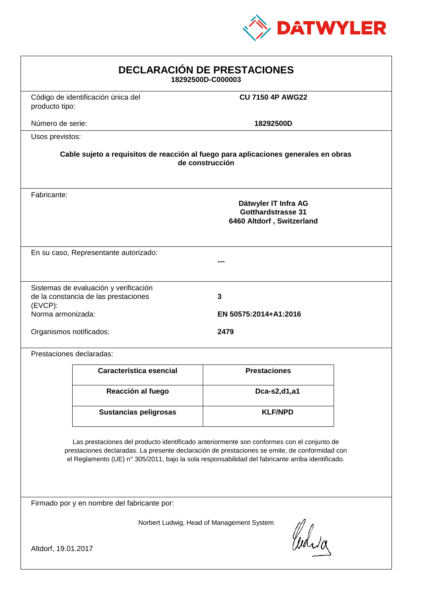

| <b>DECLARACIÓN DE PRESTACIONES</b><br>18292500D-C000003                                                                                                                                                                                                                                        |                                                                                |                            |  |
|------------------------------------------------------------------------------------------------------------------------------------------------------------------------------------------------------------------------------------------------------------------------------------------------|--------------------------------------------------------------------------------|----------------------------|--|
| producto tipo:                                                                                                                                                                                                                                                                                 | Código de identificación única del                                             | <b>CU 7150 4P AWG22</b>    |  |
| Número de serie:                                                                                                                                                                                                                                                                               |                                                                                | 18292500D                  |  |
| Usos previstos:                                                                                                                                                                                                                                                                                |                                                                                |                            |  |
| Cable sujeto a requisitos de reacción al fuego para aplicaciones generales en obras<br>de construcción                                                                                                                                                                                         |                                                                                |                            |  |
| Fabricante:                                                                                                                                                                                                                                                                                    | Dätwyler IT Infra AG<br><b>Gotthardstrasse 31</b><br>6460 Altdorf, Switzerland |                            |  |
| En su caso, Representante autorizado:                                                                                                                                                                                                                                                          |                                                                                |                            |  |
| $(EVCP)$ :<br>Norma armonizada:                                                                                                                                                                                                                                                                | Sistemas de evaluación y verificación<br>de la constancia de las prestaciones  | 3<br>EN 50575:2014+A1:2016 |  |
| Organismos notificados:<br>2479                                                                                                                                                                                                                                                                |                                                                                |                            |  |
|                                                                                                                                                                                                                                                                                                | Prestaciones declaradas:                                                       |                            |  |
|                                                                                                                                                                                                                                                                                                | Característica esencial                                                        | <b>Prestaciones</b>        |  |
|                                                                                                                                                                                                                                                                                                | Reacción al fuego                                                              | Dca-s2,d1,a1               |  |
|                                                                                                                                                                                                                                                                                                | <b>Sustancias peligrosas</b>                                                   | <b>KLF/NPD</b>             |  |
| Las prestaciones del producto identificado anteriormente son conformes con el conjunto de<br>prestaciones declaradas. La presente declaración de prestaciones se emite, de conformidad con<br>el Reglamento (UE) nº 305/2011, bajo la sola responsabilidad del fabricante arriba identificado. |                                                                                |                            |  |
| Firmado por y en nombre del fabricante por:                                                                                                                                                                                                                                                    |                                                                                |                            |  |
| Norbert Ludwig, Head of Management System<br>Curia                                                                                                                                                                                                                                             |                                                                                |                            |  |
| Altdorf, 19.01.2017                                                                                                                                                                                                                                                                            |                                                                                |                            |  |